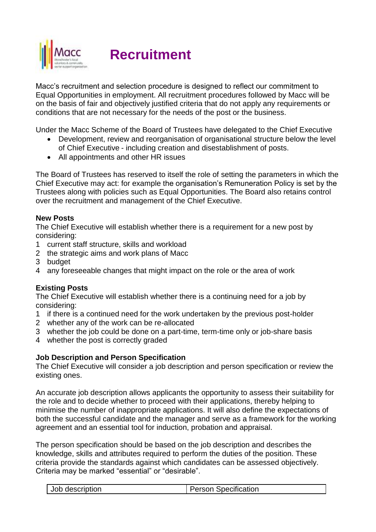

**Recruitment**

Macc's recruitment and selection procedure is designed to reflect our commitment to Equal Opportunities in employment. All recruitment procedures followed by Macc will be on the basis of fair and objectively justified criteria that do not apply any requirements or conditions that are not necessary for the needs of the post or the business.

Under the Macc Scheme of the Board of Trustees have delegated to the Chief Executive

- Development, review and reorganisation of organisational structure below the level of Chief Executive - including creation and disestablishment of posts.
- All appointments and other HR issues

The Board of Trustees has reserved to itself the role of setting the parameters in which the Chief Executive may act: for example the organisation's Remuneration Policy is set by the Trustees along with policies such as Equal Opportunities. The Board also retains control over the recruitment and management of the Chief Executive.

# **New Posts**

The Chief Executive will establish whether there is a requirement for a new post by considering:

- 1 current staff structure, skills and workload
- 2 the strategic aims and work plans of Macc
- 3 budget
- 4 any foreseeable changes that might impact on the role or the area of work

# **Existing Posts**

The Chief Executive will establish whether there is a continuing need for a job by considering:

- 1 if there is a continued need for the work undertaken by the previous post-holder
- 2 whether any of the work can be re-allocated
- 3 whether the job could be done on a part-time, term-time only or job-share basis
- 4 whether the post is correctly graded

#### **Job Description and Person Specification**

The Chief Executive will consider a job description and person specification or review the existing ones.

An accurate job description allows applicants the opportunity to assess their suitability for the role and to decide whether to proceed with their applications, thereby helping to minimise the number of inappropriate applications. It will also define the expectations of both the successful candidate and the manager and serve as a framework for the working agreement and an essential tool for induction, probation and appraisal.

The person specification should be based on the job description and describes the knowledge, skills and attributes required to perform the duties of the position. These criteria provide the standards against which candidates can be assessed objectively. Criteria may be marked "essential" or "desirable".

| Job description | <b>Person Specification</b> |
|-----------------|-----------------------------|
|-----------------|-----------------------------|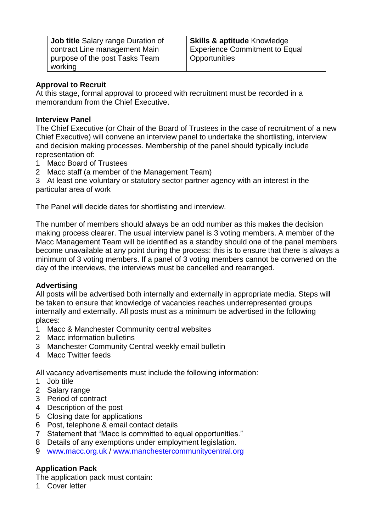| <b>Job title Salary range Duration of</b> | <b>Skills &amp; aptitude Knowledge</b> |
|-------------------------------------------|----------------------------------------|
| contract Line management Main             | <b>Experience Commitment to Equal</b>  |
| purpose of the post Tasks Team            | <b>Opportunities</b>                   |
| working                                   |                                        |

# **Approval to Recruit**

At this stage, formal approval to proceed with recruitment must be recorded in a memorandum from the Chief Executive.

#### **Interview Panel**

The Chief Executive (or Chair of the Board of Trustees in the case of recruitment of a new Chief Executive) will convene an interview panel to undertake the shortlisting, interview and decision making processes. Membership of the panel should typically include representation of:

- 1 Macc Board of Trustees
- 2 Macc staff (a member of the Management Team)

3 At least one voluntary or statutory sector partner agency with an interest in the particular area of work

The Panel will decide dates for shortlisting and interview.

The number of members should always be an odd number as this makes the decision making process clearer. The usual interview panel is 3 voting members. A member of the Macc Management Team will be identified as a standby should one of the panel members become unavailable at any point during the process: this is to ensure that there is always a minimum of 3 voting members. If a panel of 3 voting members cannot be convened on the day of the interviews, the interviews must be cancelled and rearranged.

# **Advertising**

All posts will be advertised both internally and externally in appropriate media. Steps will be taken to ensure that knowledge of vacancies reaches underrepresented groups internally and externally. All posts must as a minimum be advertised in the following places:

- 1 Macc & Manchester Community central websites
- 2 Macc information bulletins
- 3 Manchester Community Central weekly email bulletin
- 4 Macc Twitter feeds

All vacancy advertisements must include the following information:

- 1 Job title
- 2 Salary range
- 3 Period of contract
- 4 Description of the post
- 5 Closing date for applications
- 6 Post, telephone & email contact details
- 7 Statement that "Macc is committed to equal opportunities."
- 8 Details of any exemptions under employment legislation.
- 9 [www.macc.org.uk](http://www.macc.org.uk/) / [www.manchestercommunitycentral.org](http://www.manchestercommunitycentral.org/)

# **Application Pack**

The application pack must contain:

1 Cover letter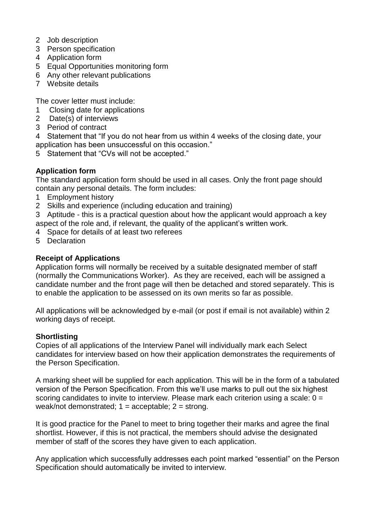- 2 Job description
- 3 Person specification
- 4 Application form
- 5 Equal Opportunities monitoring form
- 6 Any other relevant publications
- 7 Website details

The cover letter must include:

- 1 Closing date for applications
- 2 Date(s) of interviews
- 3 Period of contract

4 Statement that "If you do not hear from us within 4 weeks of the closing date, your application has been unsuccessful on this occasion."

5 Statement that "CVs will not be accepted."

# **Application form**

The standard application form should be used in all cases. Only the front page should contain any personal details. The form includes:

- 1 Employment history
- 2 Skills and experience (including education and training)

3 Aptitude - this is a practical question about how the applicant would approach a key aspect of the role and, if relevant, the quality of the applicant's written work.

- 4 Space for details of at least two referees
- 5 Declaration

### **Receipt of Applications**

Application forms will normally be received by a suitable designated member of staff (normally the Communications Worker). As they are received, each will be assigned a candidate number and the front page will then be detached and stored separately. This is to enable the application to be assessed on its own merits so far as possible.

All applications will be acknowledged by e-mail (or post if email is not available) within 2 working days of receipt.

#### **Shortlisting**

Copies of all applications of the Interview Panel will individually mark each Select candidates for interview based on how their application demonstrates the requirements of the Person Specification.

A marking sheet will be supplied for each application. This will be in the form of a tabulated version of the Person Specification. From this we'll use marks to pull out the six highest scoring candidates to invite to interview. Please mark each criterion using a scale:  $0 =$ weak/not demonstrated;  $1 =$  acceptable;  $2 =$  strong.

It is good practice for the Panel to meet to bring together their marks and agree the final shortlist. However, if this is not practical, the members should advise the designated member of staff of the scores they have given to each application.

Any application which successfully addresses each point marked "essential" on the Person Specification should automatically be invited to interview.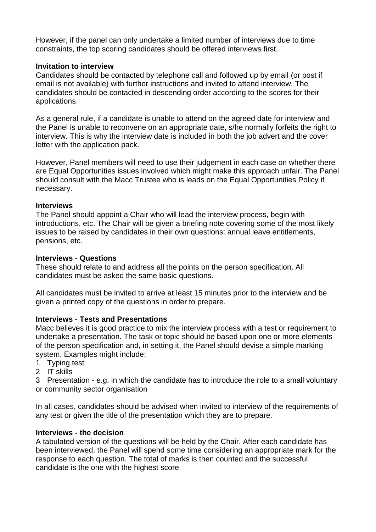However, if the panel can only undertake a limited number of interviews due to time constraints, the top scoring candidates should be offered interviews first.

### **Invitation to interview**

Candidates should be contacted by telephone call and followed up by email (or post if email is not available) with further instructions and invited to attend interview. The candidates should be contacted in descending order according to the scores for their applications.

As a general rule, if a candidate is unable to attend on the agreed date for interview and the Panel is unable to reconvene on an appropriate date, s/he normally forfeits the right to interview. This is why the interview date is included in both the job advert and the cover letter with the application pack.

However, Panel members will need to use their judgement in each case on whether there are Equal Opportunities issues involved which might make this approach unfair. The Panel should consult with the Macc Trustee who is leads on the Equal Opportunities Policy if necessary.

#### **Interviews**

The Panel should appoint a Chair who will lead the interview process, begin with introductions, etc. The Chair will be given a briefing note covering some of the most likely issues to be raised by candidates in their own questions: annual leave entitlements, pensions, etc.

#### **Interviews - Questions**

These should relate to and address all the points on the person specification. All candidates must be asked the same basic questions.

All candidates must be invited to arrive at least 15 minutes prior to the interview and be given a printed copy of the questions in order to prepare.

#### **Interviews - Tests and Presentations**

Macc believes it is good practice to mix the interview process with a test or requirement to undertake a presentation. The task or topic should be based upon one or more elements of the person specification and, in setting it, the Panel should devise a simple marking system. Examples might include:

- 1 Typing test
- 2 IT skills

3 Presentation - e.g. in which the candidate has to introduce the role to a small voluntary or community sector organisation

In all cases, candidates should be advised when invited to interview of the requirements of any test or given the title of the presentation which they are to prepare.

#### **Interviews - the decision**

A tabulated version of the questions will be held by the Chair. After each candidate has been interviewed, the Panel will spend some time considering an appropriate mark for the response to each question. The total of marks is then counted and the successful candidate is the one with the highest score.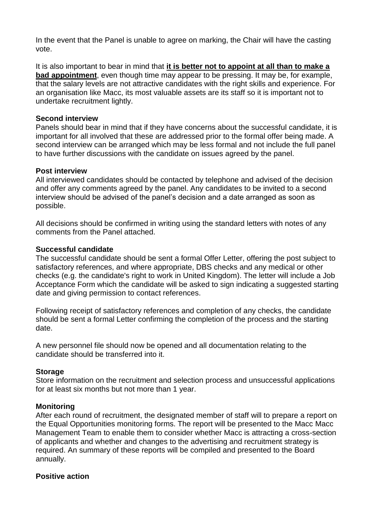In the event that the Panel is unable to agree on marking, the Chair will have the casting vote.

It is also important to bear in mind that **it is better not to appoint at all than to make a bad appointment**, even though time may appear to be pressing. It may be, for example, that the salary levels are not attractive candidates with the right skills and experience. For an organisation like Macc, its most valuable assets are its staff so it is important not to undertake recruitment lightly.

#### **Second interview**

Panels should bear in mind that if they have concerns about the successful candidate, it is important for all involved that these are addressed prior to the formal offer being made. A second interview can be arranged which may be less formal and not include the full panel to have further discussions with the candidate on issues agreed by the panel.

#### **Post interview**

All interviewed candidates should be contacted by telephone and advised of the decision and offer any comments agreed by the panel. Any candidates to be invited to a second interview should be advised of the panel's decision and a date arranged as soon as possible.

All decisions should be confirmed in writing using the standard letters with notes of any comments from the Panel attached.

#### **Successful candidate**

The successful candidate should be sent a formal Offer Letter, offering the post subject to satisfactory references, and where appropriate, DBS checks and any medical or other checks (e.g. the candidate's right to work in United Kingdom). The letter will include a Job Acceptance Form which the candidate will be asked to sign indicating a suggested starting date and giving permission to contact references.

Following receipt of satisfactory references and completion of any checks, the candidate should be sent a formal Letter confirming the completion of the process and the starting date.

A new personnel file should now be opened and all documentation relating to the candidate should be transferred into it.

#### **Storage**

Store information on the recruitment and selection process and unsuccessful applications for at least six months but not more than 1 year.

#### **Monitoring**

After each round of recruitment, the designated member of staff will to prepare a report on the Equal Opportunities monitoring forms. The report will be presented to the Macc Macc Management Team to enable them to consider whether Macc is attracting a cross-section of applicants and whether and changes to the advertising and recruitment strategy is required. An summary of these reports will be compiled and presented to the Board annually.

#### **Positive action**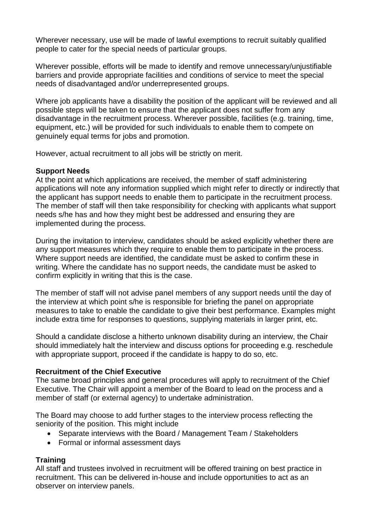Wherever necessary, use will be made of lawful exemptions to recruit suitably qualified people to cater for the special needs of particular groups.

Wherever possible, efforts will be made to identify and remove unnecessary/unjustifiable barriers and provide appropriate facilities and conditions of service to meet the special needs of disadvantaged and/or underrepresented groups.

Where job applicants have a disability the position of the applicant will be reviewed and all possible steps will be taken to ensure that the applicant does not suffer from any disadvantage in the recruitment process. Wherever possible, facilities (e.g. training, time, equipment, etc.) will be provided for such individuals to enable them to compete on genuinely equal terms for jobs and promotion.

However, actual recruitment to all jobs will be strictly on merit.

#### **Support Needs**

At the point at which applications are received, the member of staff administering applications will note any information supplied which might refer to directly or indirectly that the applicant has support needs to enable them to participate in the recruitment process. The member of staff will then take responsibility for checking with applicants what support needs s/he has and how they might best be addressed and ensuring they are implemented during the process.

During the invitation to interview, candidates should be asked explicitly whether there are any support measures which they require to enable them to participate in the process. Where support needs are identified, the candidate must be asked to confirm these in writing. Where the candidate has no support needs, the candidate must be asked to confirm explicitly in writing that this is the case.

The member of staff will not advise panel members of any support needs until the day of the interview at which point s/he is responsible for briefing the panel on appropriate measures to take to enable the candidate to give their best performance. Examples might include extra time for responses to questions, supplying materials in larger print, etc.

Should a candidate disclose a hitherto unknown disability during an interview, the Chair should immediately halt the interview and discuss options for proceeding e.g. reschedule with appropriate support, proceed if the candidate is happy to do so, etc.

#### **Recruitment of the Chief Executive**

The same broad principles and general procedures will apply to recruitment of the Chief Executive. The Chair will appoint a member of the Board to lead on the process and a member of staff (or external agency) to undertake administration.

The Board may choose to add further stages to the interview process reflecting the seniority of the position. This might include

- Separate interviews with the Board / Management Team / Stakeholders
- Formal or informal assessment days

# **Training**

All staff and trustees involved in recruitment will be offered training on best practice in recruitment. This can be delivered in-house and include opportunities to act as an observer on interview panels.